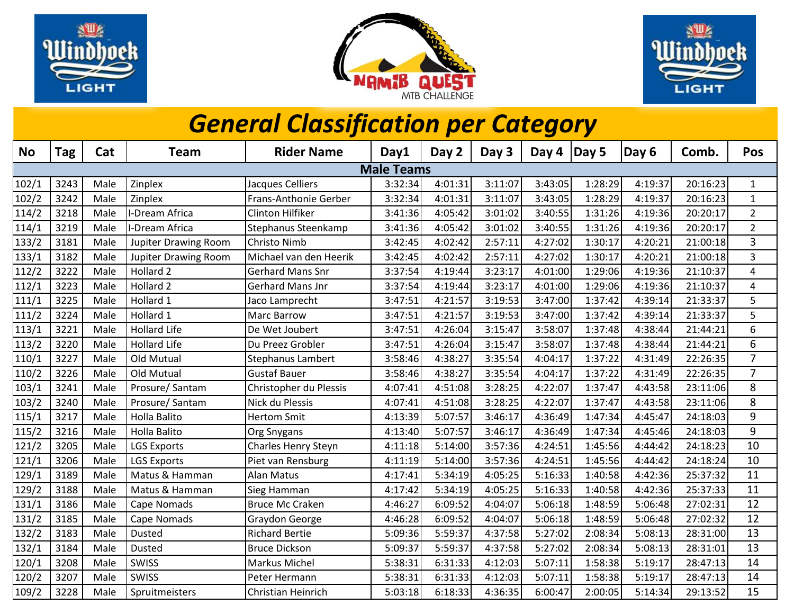





## *General Classification per Category*

| <b>No</b>         | Tag  | Cat  | <b>Team</b>                 | <b>Rider Name</b>        | Day1    | Day 2   | Day 3   | Day 4   | Day 5   | Day 6   | Comb.    | Pos                     |
|-------------------|------|------|-----------------------------|--------------------------|---------|---------|---------|---------|---------|---------|----------|-------------------------|
| <b>Male Teams</b> |      |      |                             |                          |         |         |         |         |         |         |          |                         |
| 102/1             | 3243 | Male | Zinplex                     | Jacques Celliers         | 3:32:34 | 4:01:31 | 3:11:07 | 3:43:05 | 1:28:29 | 4:19:37 | 20:16:23 | $\mathbf{1}$            |
| 102/2             | 3242 | Male | Zinplex                     | Frans-Anthonie Gerber    | 3:32:34 | 4:01:31 | 3:11:07 | 3:43:05 | 1:28:29 | 4:19:37 | 20:16:23 | $\mathbf{1}$            |
| 114/2             | 3218 | Male | I-Dream Africa              | <b>Clinton Hilfiker</b>  | 3:41:36 | 4:05:42 | 3:01:02 | 3:40:55 | 1:31:26 | 4:19:36 | 20:20:17 | $\overline{2}$          |
| 114/1             | 3219 | Male | -Dream Africa               | Stephanus Steenkamp      | 3:41:36 | 4:05:42 | 3:01:02 | 3:40:55 | 1:31:26 | 4:19:36 | 20:20:17 | $\overline{2}$          |
| 133/2             | 3181 | Male | <b>Jupiter Drawing Room</b> | <b>Christo Nimb</b>      | 3:42:45 | 4:02:42 | 2:57:11 | 4:27:02 | 1:30:17 | 4:20:21 | 21:00:18 | 3                       |
| 133/1             | 3182 | Male | <b>Jupiter Drawing Room</b> | Michael van den Heerik   | 3:42:45 | 4:02:42 | 2:57:11 | 4:27:02 | 1:30:17 | 4:20:21 | 21:00:18 | 3                       |
| 112/2             | 3222 | Male | Hollard <sub>2</sub>        | <b>Gerhard Mans Snr</b>  | 3:37:54 | 4:19:44 | 3:23:17 | 4:01:00 | 1:29:06 | 4:19:36 | 21:10:37 | $\overline{\mathbf{4}}$ |
| 112/1             | 3223 | Male | Hollard <sub>2</sub>        | <b>Gerhard Mans Jnr</b>  | 3:37:54 | 4:19:44 | 3:23:17 | 4:01:00 | 1:29:06 | 4:19:36 | 21:10:37 | 4                       |
| 111/1             | 3225 | Male | Hollard 1                   | Jaco Lamprecht           | 3:47:51 | 4:21:57 | 3:19:53 | 3:47:00 | 1:37:42 | 4:39:14 | 21:33:37 | 5                       |
| 111/2             | 3224 | Male | Hollard 1                   | <b>Marc Barrow</b>       | 3:47:51 | 4:21:57 | 3:19:53 | 3:47:00 | 1:37:42 | 4:39:14 | 21:33:37 | 5                       |
| 113/1             | 3221 | Male | <b>Hollard Life</b>         | De Wet Joubert           | 3:47:51 | 4:26:04 | 3:15:47 | 3:58:07 | 1:37:48 | 4:38:44 | 21:44:21 | 6                       |
| 113/2             | 3220 | Male | <b>Hollard Life</b>         | Du Preez Grobler         | 3:47:51 | 4:26:04 | 3:15:47 | 3:58:07 | 1:37:48 | 4:38:44 | 21:44:21 | 6                       |
| 110/1             | 3227 | Male | Old Mutual                  | <b>Stephanus Lambert</b> | 3:58:46 | 4:38:27 | 3:35:54 | 4:04:17 | 1:37:22 | 4:31:49 | 22:26:35 | $\overline{7}$          |
| 110/2             | 3226 | Male | Old Mutual                  | <b>Gustaf Bauer</b>      | 3:58:46 | 4:38:27 | 3:35:54 | 4:04:17 | 1:37:22 | 4:31:49 | 22:26:35 | $\overline{7}$          |
| 103/1             | 3241 | Male | Prosure/Santam              | Christopher du Plessis   | 4:07:41 | 4:51:08 | 3:28:25 | 4:22:07 | 1:37:47 | 4:43:58 | 23:11:06 | 8                       |
| 103/2             | 3240 | Male | Prosure/Santam              | Nick du Plessis          | 4:07:41 | 4:51:08 | 3:28:25 | 4:22:07 | 1:37:47 | 4:43:58 | 23:11:06 | 8                       |
| 115/1             | 3217 | Male | <b>Holla Balito</b>         | <b>Hertom Smit</b>       | 4:13:39 | 5:07:57 | 3:46:17 | 4:36:49 | 1:47:34 | 4:45:47 | 24:18:03 | 9                       |
| 115/2             | 3216 | Male | <b>Holla Balito</b>         | <b>Org Snygans</b>       | 4:13:40 | 5:07:57 | 3:46:17 | 4:36:49 | 1:47:34 | 4:45:46 | 24:18:03 | 9                       |
| 121/2             | 3205 | Male | <b>LGS Exports</b>          | Charles Henry Steyn      | 4:11:18 | 5:14:00 | 3:57:36 | 4:24:51 | 1:45:56 | 4:44:42 | 24:18:23 | 10                      |
| 121/1             | 3206 | Male | <b>LGS Exports</b>          | Piet van Rensburg        | 4:11:19 | 5:14:00 | 3:57:36 | 4:24:51 | 1:45:56 | 4:44:42 | 24:18:24 | 10                      |
| 129/1             | 3189 | Male | Matus & Hamman              | <b>Alan Matus</b>        | 4:17:41 | 5:34:19 | 4:05:25 | 5:16:33 | 1:40:58 | 4:42:36 | 25:37:32 | 11                      |
| 129/2             | 3188 | Male | Matus & Hamman              | Sieg Hamman              | 4:17:42 | 5:34:19 | 4:05:25 | 5:16:33 | 1:40:58 | 4:42:36 | 25:37:33 | 11                      |
| 131/1             | 3186 | Male | Cape Nomads                 | <b>Bruce Mc Craken</b>   | 4:46:27 | 6:09:52 | 4:04:07 | 5:06:18 | 1:48:59 | 5:06:48 | 27:02:31 | 12                      |
| 131/2             | 3185 | Male | Cape Nomads                 | Graydon George           | 4:46:28 | 6:09:52 | 4:04:07 | 5:06:18 | 1:48:59 | 5:06:48 | 27:02:32 | 12                      |
| 132/2             | 3183 | Male | <b>Dusted</b>               | <b>Richard Bertie</b>    | 5:09:36 | 5:59:37 | 4:37:58 | 5:27:02 | 2:08:34 | 5:08:13 | 28:31:00 | 13                      |
| 132/1             | 3184 | Male | <b>Dusted</b>               | <b>Bruce Dickson</b>     | 5:09:37 | 5:59:37 | 4:37:58 | 5:27:02 | 2:08:34 | 5:08:13 | 28:31:01 | 13                      |
| 120/1             | 3208 | Male | <b>SWISS</b>                | <b>Markus Michel</b>     | 5:38:31 | 6:31:33 | 4:12:03 | 5:07:11 | 1:58:38 | 5:19:17 | 28:47:13 | 14                      |
| 120/2             | 3207 | Male | <b>SWISS</b>                | Peter Hermann            | 5:38:31 | 6:31:33 | 4:12:03 | 5:07:11 | 1:58:38 | 5:19:17 | 28:47:13 | 14                      |
| 109/2             | 3228 | Male | Spruitmeisters              | Christian Heinrich       | 5:03:18 | 6:18:33 | 4:36:35 | 6:00:47 | 2:00:05 | 5:14:34 | 29:13:52 | 15                      |